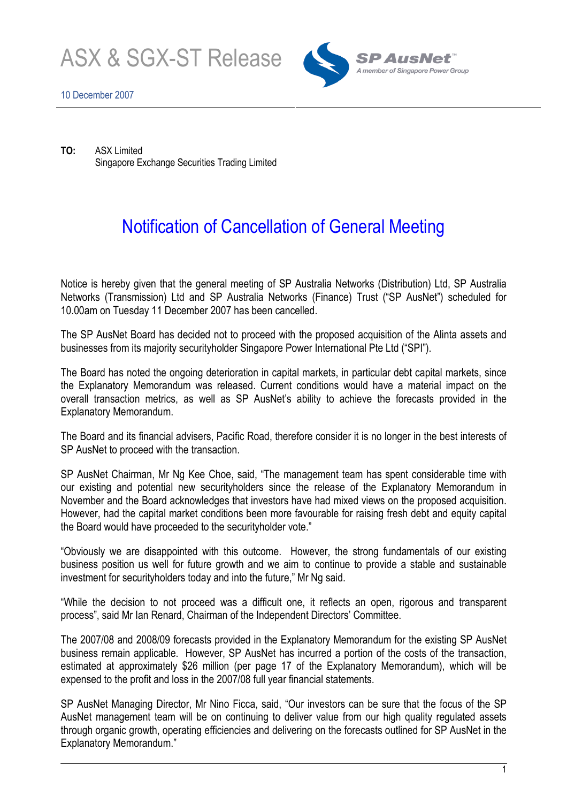





TO: ASX Limited Singapore Exchange Securities Trading Limited

## Notification of Cancellation of General Meeting

Notice is hereby given that the general meeting of SP Australia Networks (Distribution) Ltd, SP Australia Networks (Transmission) Ltd and SP Australia Networks (Finance) Trust ("SP AusNet") scheduled for 10.00am on Tuesday 11 December 2007 has been cancelled.

The SP AusNet Board has decided not to proceed with the proposed acquisition of the Alinta assets and businesses from its majority securityholder Singapore Power International Pte Ltd ("SPI").

The Board has noted the ongoing deterioration in capital markets, in particular debt capital markets, since the Explanatory Memorandum was released. Current conditions would have a material impact on the overall transaction metrics, as well as SP AusNet's ability to achieve the forecasts provided in the Explanatory Memorandum.

The Board and its financial advisers, Pacific Road, therefore consider it is no longer in the best interests of SP AusNet to proceed with the transaction.

SP AusNet Chairman, Mr Ng Kee Choe, said, "The management team has spent considerable time with our existing and potential new securityholders since the release of the Explanatory Memorandum in November and the Board acknowledges that investors have had mixed views on the proposed acquisition. However, had the capital market conditions been more favourable for raising fresh debt and equity capital the Board would have proceeded to the securityholder vote."

"Obviously we are disappointed with this outcome. However, the strong fundamentals of our existing business position us well for future growth and we aim to continue to provide a stable and sustainable investment for securityholders today and into the future," Mr Ng said.

"While the decision to not proceed was a difficult one, it reflects an open, rigorous and transparent process", said Mr Ian Renard, Chairman of the Independent Directors' Committee.

The 2007/08 and 2008/09 forecasts provided in the Explanatory Memorandum for the existing SP AusNet business remain applicable. However, SP AusNet has incurred a portion of the costs of the transaction, estimated at approximately \$26 million (per page 17 of the Explanatory Memorandum), which will be expensed to the profit and loss in the 2007/08 full year financial statements.

SP AusNet Managing Director, Mr Nino Ficca, said, "Our investors can be sure that the focus of the SP AusNet management team will be on continuing to deliver value from our high quality regulated assets through organic growth, operating efficiencies and delivering on the forecasts outlined for SP AusNet in the Explanatory Memorandum."